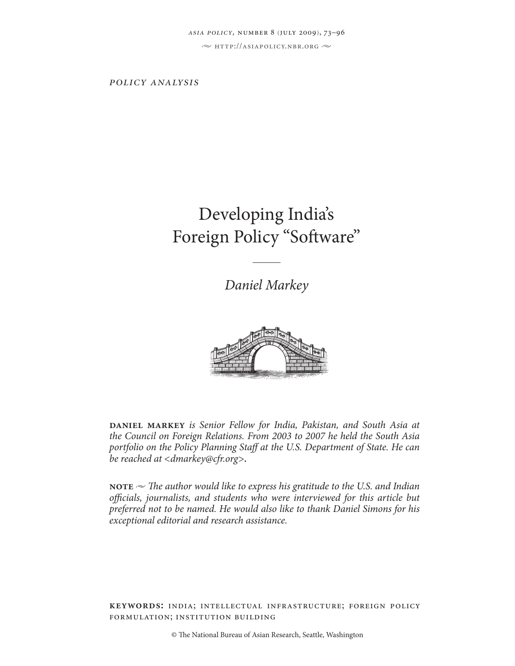$\sim$  HTTP://ASIAPOLICY.NBR.ORG  $\sim$ 

POLICY ANALYSIS

# Developing India's Foreign Policy "Software"

Daniel Markey



DANIEL MARKEY is Senior Fellow for India, Pakistan, and South Asia at the Council on Foreign Relations. From 2003 to 2007 he held the South Asia portfolio on the Policy Planning Staff at the U.S. Department of State. He can be reached at <dmarkey@cfr.org>.

**NOTE**  $\sim$  The author would like to express his gratitude to the U.S. and Indian officials, journalists, and students who were interviewed for this article but preferred not to be named. He would also like to thank Daniel Simons for his exceptional editorial and research assistance.

KEYWORDS: INDIA; INTELLECTUAL INFRASTRUCTURE; FOREIGN POLICY FORMULATION; INSTITUTION BUILDING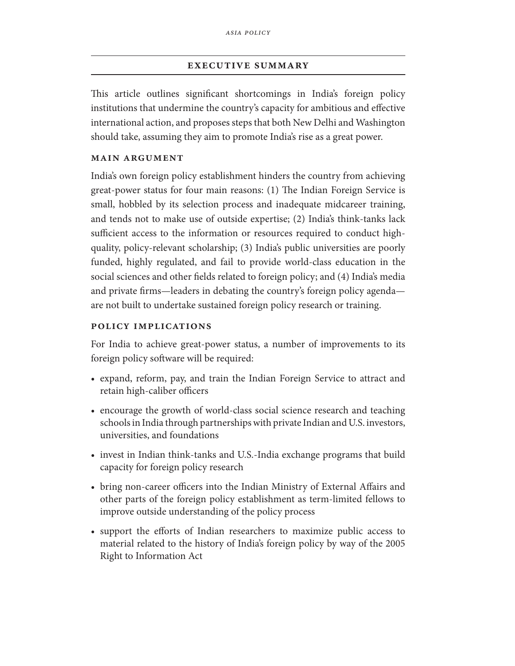#### **EXECUTIVE SUMMARY**

This article outlines significant shortcomings in India's foreign policy institutions that undermine the country's capacity for ambitious and effective international action, and proposes steps that both New Delhi and Washington should take, assuming they aim to promote India's rise as a great power.

#### **MAIN ARGUMENT**

India's own foreign policy establishment hinders the country from achieving great-power status for four main reasons: (1) The Indian Foreign Service is small, hobbled by its selection process and inadequate midcareer training, and tends not to make use of outside expertise; (2) India's think-tanks lack sufficient access to the information or resources required to conduct highquality, policy-relevant scholarship; (3) India's public universities are poorly funded, highly regulated, and fail to provide world-class education in the social sciences and other fields related to foreign policy; and (4) India's media and private firms—leaders in debating the country's foreign policy agenda are not built to undertake sustained foreign policy research or training.

#### POLICY IMPLICATIONS

For India to achieve great-power status, a number of improvements to its foreign policy software will be required:

- expand, reform, pay, and train the Indian Foreign Service to attract and retain high-caliber officers
- encourage the growth of world-class social science research and teaching schools in India through partnerships with private Indian and U.S. investors, universities, and foundations
- invest in Indian think-tanks and U.S.-India exchange programs that build capacity for foreign policy research
- bring non-career officers into the Indian Ministry of External Affairs and other parts of the foreign policy establishment as term-limited fellows to improve outside understanding of the policy process
- support the efforts of Indian researchers to maximize public access to material related to the history of India's foreign policy by way of the 2005 Right to Information Act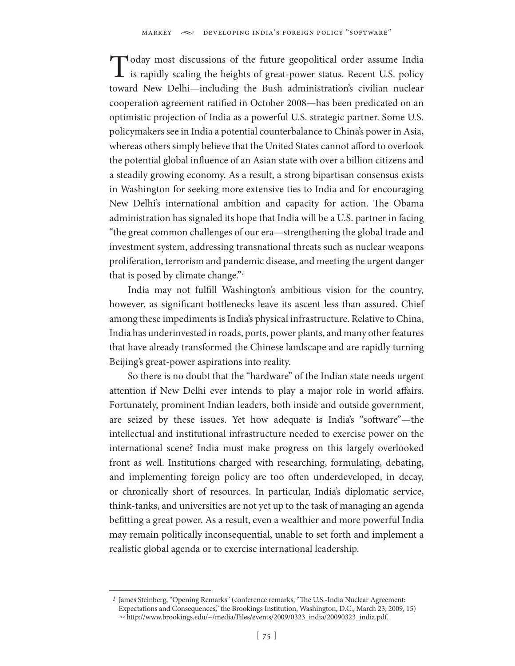Today most discussions of the future geopolitical order assume India is rapidly scaling the heights of great-power status. Recent U.S. policy toward New Delhi—including the Bush administration's civilian nuclear cooperation agreement ratifed in October 2008—has been predicated on an optimistic projection of India as a powerful U.S. strategic partner. Some U.S. policymakers see in India a potential counterbalance to China's power in Asia, whereas others simply believe that the United States cannot afford to overlook the potential global influence of an Asian state with over a billion citizens and a steadily growing economy. As a result, a strong bipartisan consensus exists in Washington for seeking more extensive ties to India and for encouraging New Delhi's international ambition and capacity for action. The Obama administration has signaled its hope that India will be a U.S. partner in facing "the great common challenges of our era—strengthening the global trade and investment system, addressing transnational threats such as nuclear weapons proliferation, terrorism and pandemic disease, and meeting the urgent danger that is posed by climate change."*<sup>1</sup>*

India may not fulfll Washington's ambitious vision for the country, however, as signifcant bottlenecks leave its ascent less than assured. Chief among these impediments is India's physical infrastructure. Relative to China, India has underinvested in roads, ports, power plants, and many other features that have already transformed the Chinese landscape and are rapidly turning Beijing's great-power aspirations into reality.

So there is no doubt that the "hardware" of the Indian state needs urgent attention if New Delhi ever intends to play a major role in world afairs. Fortunately, prominent Indian leaders, both inside and outside government, are seized by these issues. Yet how adequate is India's "software"-the intellectual and institutional infrastructure needed to exercise power on the international scene? India must make progress on this largely overlooked front as well. Institutions charged with researching, formulating, debating, and implementing foreign policy are too ofen underdeveloped, in decay, or chronically short of resources. In particular, India's diplomatic service, think-tanks, and universities are not yet up to the task of managing an agenda beftting a great power. As a result, even a wealthier and more powerful India may remain politically inconsequential, unable to set forth and implement a realistic global agenda or to exercise international leadership.

<sup>&</sup>lt;sup>1</sup> James Steinberg, "Opening Remarks" (conference remarks, "The U.S.-India Nuclear Agreement: Expectations and Consequences," the Brookings Institution, Washington, D.C., March 23, 2009, 15)

 $\sim$  http://www.brookings.edu/~/media/Files/events/2009/0323\_india/20090323\_india.pdf.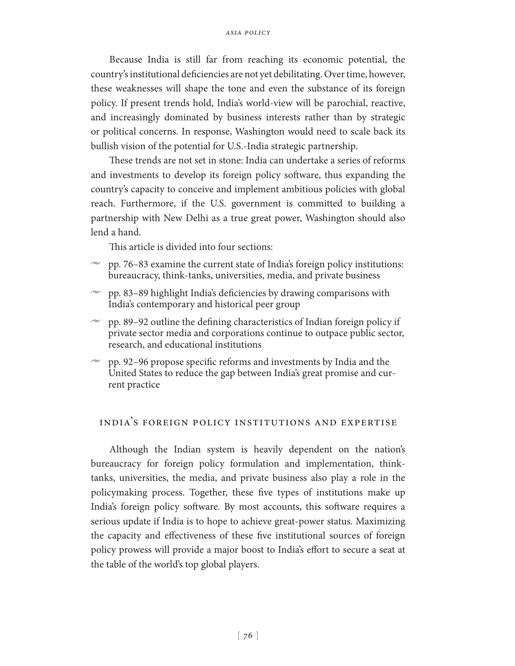Because India is still far from reaching its economic potential, the country's institutional deficiencies are not yet debilitating. Over time, however, these weaknesses will shape the tone and even the substance of its foreign policy. If present trends hold, India's world-view will be parochial, reactive, and increasingly dominated by business interests rather than by strategic or political concerns. In response, Washington would need to scale back its bullish vision of the potential for U.S.-India strategic partnership.

These trends are not set in stone: India can undertake a series of reforms and investments to develop its foreign policy software, thus expanding the country's capacity to conceive and implement ambitious policies with global reach. Furthermore, if the U.S. government is committed to building a partnership with New Delhi as a true great power, Washington should also lend a hand.

This article is divided into four sections:

- $\approx$  pp. 76–83 examine the current state of India's foreign policy institutions: bureaucracy, think-tanks, universities, media, and private business
- $\approx$  pp. 83–89 highlight India's deficiencies by drawing comparisons with India's contemporary and historical peer group
- $\approx$  pp. 89–92 outline the defining characteristics of Indian foreign policy if private sector media and corporations continue to outpace public sector, research, and educational institutions
- $\approx$  pp. 92–96 propose specific reforms and investments by India and the United States to reduce the gap between India's great promise and current practice

#### INDIA'S FOREIGN POLICY INSTITUTIONS AND EXPERTISE

Although the Indian system is heavily dependent on the nation's bureaucracy for foreign policy formulation and implementation, thinktanks, universities, the media, and private business also play a role in the policymaking process. Together, these five types of institutions make up India's foreign policy software. By most accounts, this software requires a serious update if India is to hope to achieve great-power status. Maximizing the capacity and effectiveness of these five institutional sources of foreign policy prowess will provide a major boost to India's effort to secure a seat at the table of the world's top global players.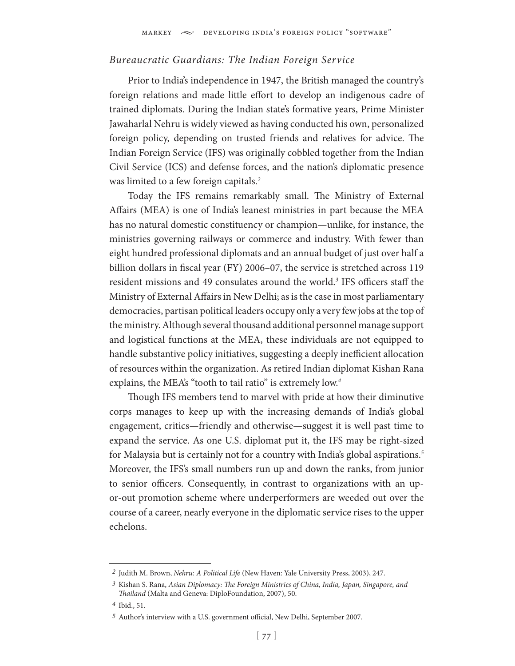#### Bureaucratic Guardians: The Indian Foreign Service

Prior to India's independence in 1947, the British managed the country's foreign relations and made little effort to develop an indigenous cadre of trained diplomats. During the Indian state's formative years, Prime Minister Jawaharlal Nehru is widely viewed as having conducted his own, personalized foreign policy, depending on trusted friends and relatives for advice. The Indian Foreign Service (IFS) was originally cobbled together from the Indian Civil Service (ICS) and defense forces, and the nation's diplomatic presence was limited to a few foreign capitals.<sup>2</sup>

Today the IFS remains remarkably small. The Ministry of External Affairs (MEA) is one of India's leanest ministries in part because the MEA has no natural domestic constituency or champion—unlike, for instance, the ministries governing railways or commerce and industry. With fewer than eight hundred professional diplomats and an annual budget of just over half a billion dollars in fiscal year (FY) 2006–07, the service is stretched across 119 resident missions and 49 consulates around the world.<sup>3</sup> IFS officers staff the Ministry of External Affairs in New Delhi; as is the case in most parliamentary democracies, partisan political leaders occupy only a very few jobs at the top of the ministry. Although several thousand additional personnel manage support and logistical functions at the MEA, these individuals are not equipped to handle substantive policy initiatives, suggesting a deeply inefficient allocation of resources within the organization. As retired Indian diplomat Kishan Rana explains, the MEA's "tooth to tail ratio" is extremely low.<sup>4</sup>

Though IFS members tend to marvel with pride at how their diminutive corps manages to keep up with the increasing demands of India's global engagement, critics—friendly and otherwise—suggest it is well past time to expand the service. As one U.S. diplomat put it, the IFS may be right-sized for Malaysia but is certainly not for a country with India's global aspirations.<sup>5</sup> Moreover, the IFS's small numbers run up and down the ranks, from junior to senior officers. Consequently, in contrast to organizations with an upor-out promotion scheme where underperformers are weeded out over the course of a career, nearly everyone in the diplomatic service rises to the upper echelons.

<sup>&</sup>lt;sup>2</sup> Judith M. Brown, Nehru: A Political Life (New Haven: Yale University Press, 2003), 247.

<sup>&</sup>lt;sup>3</sup> Kishan S. Rana, Asian Diplomacy: The Foreign Ministries of China, India, Japan, Singapore, and Thailand (Malta and Geneva: DiploFoundation, 2007), 50.

<sup>&</sup>lt;sup>4</sup> Ibid., 51.

 $^5\,$  Author's interview with a U.S. government official, New Delhi, September 2007.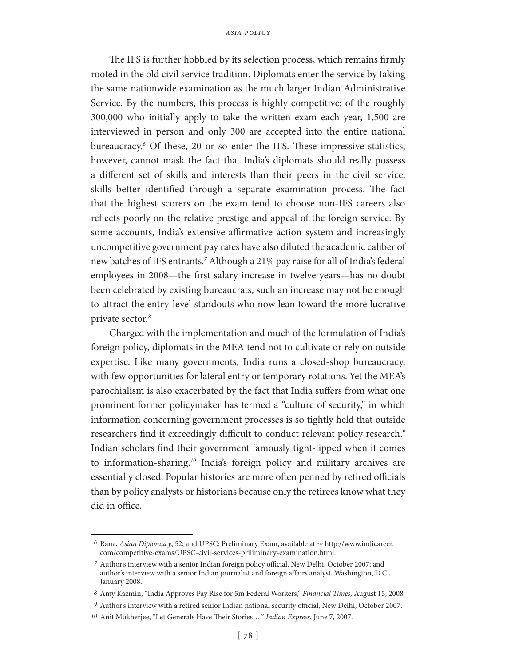#### asia policy

The IFS is further hobbled by its selection process, which remains firmly rooted in the old civil service tradition. Diplomats enter the service by taking the same nationwide examination as the much larger Indian Administrative Service. By the numbers, this process is highly competitive: of the roughly 300,000 who initially apply to take the written exam each year, 1,500 are interviewed in person and only 300 are accepted into the entire national bureaucracy.<sup>6</sup> Of these, 20 or so enter the IFS. These impressive statistics, however, cannot mask the fact that India's diplomats should really possess a diferent set of skills and interests than their peers in the civil service, skills better identified through a separate examination process. The fact that the highest scorers on the exam tend to choose non-IFS careers also refects poorly on the relative prestige and appeal of the foreign service. By some accounts, India's extensive affirmative action system and increasingly uncompetitive government pay rates have also diluted the academic caliber of new batches of IFS entrants.*<sup>7</sup>* Although a 21% pay raise for all of India's federal employees in 2008—the frst salary increase in twelve years—has no doubt been celebrated by existing bureaucrats, such an increase may not be enough to attract the entry-level standouts who now lean toward the more lucrative private sector.*<sup>8</sup>*

Charged with the implementation and much of the formulation of India's foreign policy, diplomats in the MEA tend not to cultivate or rely on outside expertise. Like many governments, India runs a closed-shop bureaucracy, with few opportunities for lateral entry or temporary rotations. Yet the MEA's parochialism is also exacerbated by the fact that India sufers from what one prominent former policymaker has termed a "culture of security," in which information concerning government processes is so tightly held that outside researchers find it exceedingly difficult to conduct relevant policy research.<sup>9</sup> Indian scholars fnd their government famously tight-lipped when it comes to information-sharing.*<sup>10</sup>* India's foreign policy and military archives are essentially closed. Popular histories are more often penned by retired officials than by policy analysts or historians because only the retirees know what they did in office.

<sup>6</sup> Rana, Asian Diplomacy, 52; and UPSC: Preliminary Exam, available at  $\sim$  http://www.indicareer. com/competitive-exams/UPSC-civil-services-priliminary-examination.html.

 $7$  Author's interview with a senior Indian foreign policy official, New Delhi, October 2007; and author's interview with a senior Indian journalist and foreign afairs analyst, Washington, D.C., January 2008.

<sup>8</sup> Amy Kazmin, "India Approves Pay Rise for 5m Federal Workers," Financial Times, August 15, 2008.

<sup>&</sup>lt;sup>9</sup> Author's interview with a retired senior Indian national security official, New Delhi, October 2007.

<sup>10</sup> Anit Mukherjee, "Let Generals Have Their Stories...," Indian Express, June 7, 2007.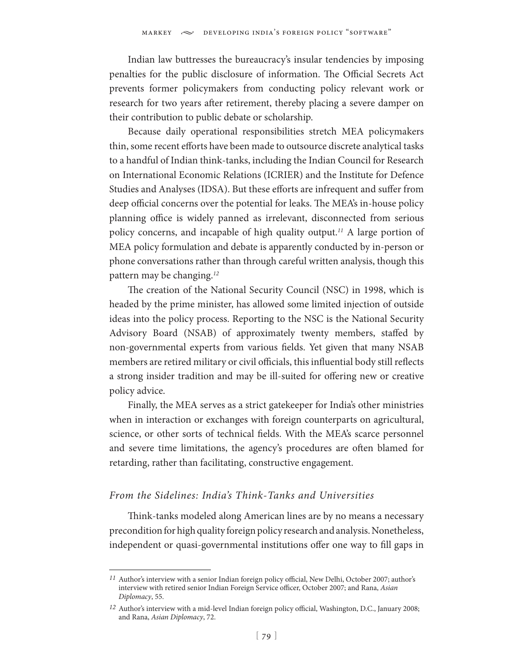Indian law buttresses the bureaucracy's insular tendencies by imposing penalties for the public disclosure of information. The Official Secrets Act prevents former policymakers from conducting policy relevant work or research for two years after retirement, thereby placing a severe damper on their contribution to public debate or scholarship.

Because daily operational responsibilities stretch MEA policymakers thin, some recent eforts have been made to outsource discrete analytical tasks to a handful of Indian think-tanks, including the Indian Council for Research on International Economic Relations (ICRIER) and the Institute for Defence Studies and Analyses (IDSA). But these efforts are infrequent and suffer from deep official concerns over the potential for leaks. The MEA's in-house policy planning office is widely panned as irrelevant, disconnected from serious policy concerns, and incapable of high quality output.*<sup>11</sup>* A large portion of MEA policy formulation and debate is apparently conducted by in-person or phone conversations rather than through careful written analysis, though this pattern may be changing.*<sup>12</sup>*

The creation of the National Security Council (NSC) in 1998, which is headed by the prime minister, has allowed some limited injection of outside ideas into the policy process. Reporting to the NSC is the National Security Advisory Board (NSAB) of approximately twenty members, stafed by non-governmental experts from various fields. Yet given that many NSAB members are retired military or civil officials, this influential body still reflects a strong insider tradition and may be ill-suited for ofering new or creative policy advice.

Finally, the MEA serves as a strict gate keeper for India's other ministries when in interaction or exchanges with foreign counterparts on agricultural, science, or other sorts of technical fields. With the MEA's scarce personnel and severe time limitations, the agency's procedures are ofen blamed for retarding, rather than facilitating, constructive engagement.

#### *From the Sidelines: India's Think-Tanks and Universities*

Think-tanks modeled along American lines are by no means a necessary precondition for high quality foreign policy research and analysis. Nonetheless, independent or quasi-governmental institutions offer one way to fill gaps in

 $11$  Author's interview with a senior Indian foreign policy official, New Delhi, October 2007; author's interview with retired senior Indian Foreign Service officer, October 2007; and Rana, Asian *Diplomacy*, 55.

<sup>&</sup>lt;sup>12</sup> Author's interview with a mid-level Indian foreign policy official, Washington, D.C., January 2008; and Rana, *Asian Diplomacy*, 72.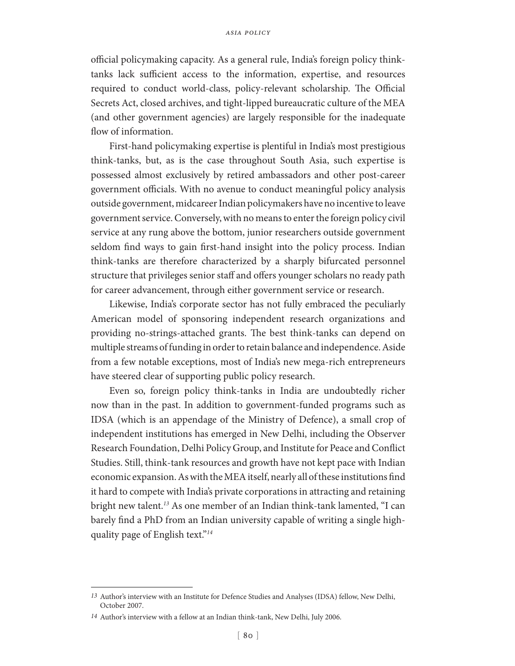official policymaking capacity. As a general rule, India's foreign policy thinktanks lack sufficient access to the information, expertise, and resources required to conduct world-class, policy-relevant scholarship. The Official Secrets Act, closed archives, and tight-lipped bureaucratic culture of the MEA (and other government agencies) are largely responsible for the inadequate flow of information.

First-hand policymaking expertise is plentiful in India's most prestigious think-tanks, but, as is the case throughout South Asia, such expertise is possessed almost exclusively by retired ambassadors and other post-career government officials. With no avenue to conduct meaningful policy analysis outside government, midcareer Indian policymakers have no incentive to leave government service. Conversely, with no means to enter the foreign policy civil service at any rung above the bottom, junior researchers outside government seldom fnd ways to gain frst-hand insight into the policy process. Indian think-tanks are therefore characterized by a sharply bifurcated personnel structure that privileges senior staff and offers younger scholars no ready path for career advancement, through either government service or research.

Likewise, India's corporate sector has not fully embraced the peculiarly American model of sponsoring independent research organizations and providing no-strings-attached grants. The best think-tanks can depend on multiple streams of funding in order to retain balance and independence. Aside from a few notable exceptions, most of India's new mega-rich entrepreneurs have steered clear of supporting public policy research.

Even so, foreign policy think-tanks in India are undoubtedly richer now than in the past. In addition to government-funded programs such as IDSA (which is an appendage of the Ministry of Defence), a small crop of independent institutions has emerged in New Delhi, including the Observer Research Foundation, Delhi Policy Group, and Institute for Peace and Conflict Studies. Still, think-tank resources and growth have not kept pace with Indian economic expansion. As with the MEA itself, nearly all of these institutions find it hard to compete with India's private corporations in attracting and retaining bright new talent.*<sup>13</sup>* As one member of an Indian think-tank lamented, "I can barely fnd a PhD from an Indian university capable of writing a single highquality page of English text."<sup>14</sup>

*<sup>13</sup>* Author's interview with an Institute for Defence Studies and Analyses (IDSA) fellow, New Delhi, October 2007.

*<sup>14</sup>* Author's interview with a fellow at an Indian think-tank, New Delhi, July 2006.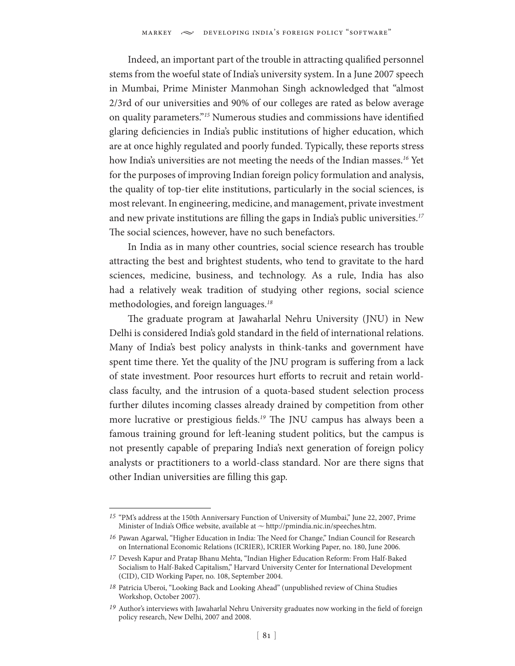Indeed, an important part of the trouble in attracting qualifed personnel stems from the woeful state of India's university system. In a June 2007 speech in Mumbai, Prime Minister Manmohan Singh acknowledged that "almost" 2/3rd of our universities and 90% of our colleges are rated as below average on quality parameters."*<sup>15</sup>* Numerous studies and commissions have identifed glaring defciencies in India's public institutions of higher education, which are at once highly regulated and poorly funded. Typically, these reports stress how India's universities are not meeting the needs of the Indian masses.<sup>16</sup> Yet for the purposes of improving Indian foreign policy formulation and analysis, the quality of top-tier elite institutions, particularly in the social sciences, is most relevant. In engineering, medicine, and management, private investment and new private institutions are flling the gaps in India's public universities.*<sup>17</sup>* The social sciences, however, have no such benefactors.

In India as in many other countries, social science research has trouble attracting the best and brightest students, who tend to gravitate to the hard sciences, medicine, business, and technology. As a rule, India has also had a relatively weak tradition of studying other regions, social science methodologies, and foreign languages.*<sup>18</sup>*

The graduate program at Jawaharlal Nehru University (JNU) in New Delhi is considered India's gold standard in the feld of international relations. Many of India's best policy analysts in think-tanks and government have spent time there. Yet the quality of the JNU program is suffering from a lack of state investment. Poor resources hurt efforts to recruit and retain worldclass faculty, and the intrusion of a quota-based student selection process further dilutes incoming classes already drained by competition from other more lucrative or prestigious fields.<sup>19</sup> The JNU campus has always been a famous training ground for left-leaning student politics, but the campus is not presently capable of preparing India's next generation of foreign policy analysts or practitioners to a world-class standard. Nor are there signs that other Indian universities are flling this gap.

<sup>15 &</sup>quot;PM's address at the 150th Anniversary Function of University of Mumbai," June 22, 2007, Prime Minister of India's Office website, available at  $\sim$  http://pmindia.nic.in/speeches.htm.

<sup>16</sup> Pawan Agarwal, "Higher Education in India: The Need for Change," Indian Council for Research on International Economic Relations (ICRIER), ICRIER Working Paper, no. 180, June 2006.

<sup>17</sup> Devesh Kapur and Pratap Bhanu Mehta, "Indian Higher Education Reform: From Half-Baked Socialism to Half-Baked Capitalism," Harvard University Center for International Development (CID), CID Working Paper, no. 108, September 2004.

*<sup>18</sup>* Patricia Uberoi, "Looking Back and Looking Ahead" (unpublished review of China Studies Workshop, October 2007).

*<sup>19</sup>* Author's interviews with Jawaharlal Nehru University graduates now working in the feld of foreign policy research, New Delhi, 2007 and 2008.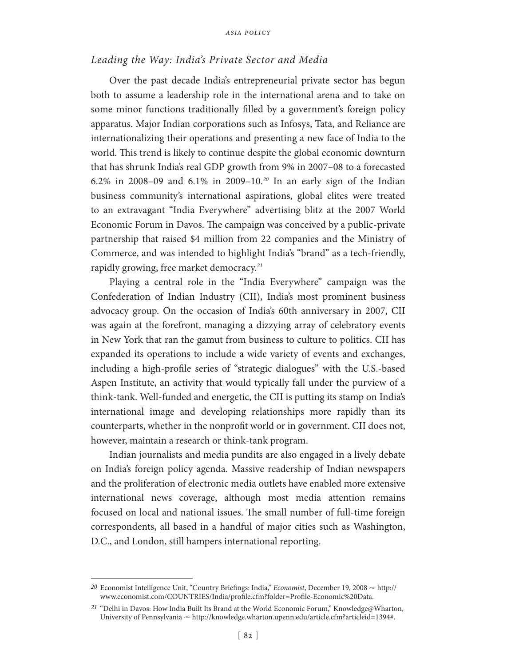#### *Leading the Way: India's Private Sector and Media*

Over the past decade India's entrepreneurial private sector has begun both to assume a leadership role in the international arena and to take on some minor functions traditionally flled by a government's foreign policy apparatus. Major Indian corporations such as Infosys, Tata, and Reliance are internationalizing their operations and presenting a new face of India to the world. This trend is likely to continue despite the global economic downturn that has shrunk India's real GDP growth from 9% in 2007-08 to a forecasted 6.2% in 2008-09 and 6.1% in 2009-10.<sup>20</sup> In an early sign of the Indian business community's international aspirations, global elites were treated to an extravagant "India Everywhere" advertising blitz at the 2007 World Economic Forum in Davos. The campaign was conceived by a public-private partnership that raised \$4 million from 22 companies and the Ministry of Commerce, and was intended to highlight India's "brand" as a tech-friendly, rapidly growing, free market democracy.*<sup>21</sup>*

Playing a central role in the "India Everywhere" campaign was the Confederation of Indian Industry (CII), India's most prominent business advocacy group. On the occasion of India's 60th anniversary in 2007, CII was again at the forefront, managing a dizzying array of celebratory events in New York that ran the gamut from business to culture to politics. CII has expanded its operations to include a wide variety of events and exchanges, including a high-profle series of "strategic dialogues" with the U.S.-based Aspen Institute, an activity that would typically fall under the purview of a think-tank. Well-funded and energetic, the CII is putting its stamp on India's international image and developing relationships more rapidly than its counterparts, whether in the nonproft world or in government. CII does not, however, maintain a research or think-tank program.

Indian journalists and media pundits are also engaged in a lively debate on India's foreign policy agenda. Massive readership of Indian newspapers and the proliferation of electronic media outlets have enabled more extensive international news coverage, although most media attention remains focused on local and national issues. The small number of full-time foreign correspondents, all based in a handful of major cities such as Washington, D.C., and London, still hampers international reporting.

<sup>20</sup> Economist Intelligence Unit, "Country Briefings: India," *Economist*, December 19, 2008  $\sim$  http:// www.economist.com/COUNTRIES/India/profile.cfm?folder=Profile-Economic%20Data.

<sup>&</sup>lt;sup>21</sup> "Delhi in Davos: How India Built Its Brand at the World Economic Forum," Knowledge@Wharton, University of Pennsylvania  $\sim$  http://knowledge.wharton.upenn.edu/article.cfm?articleid=1394#.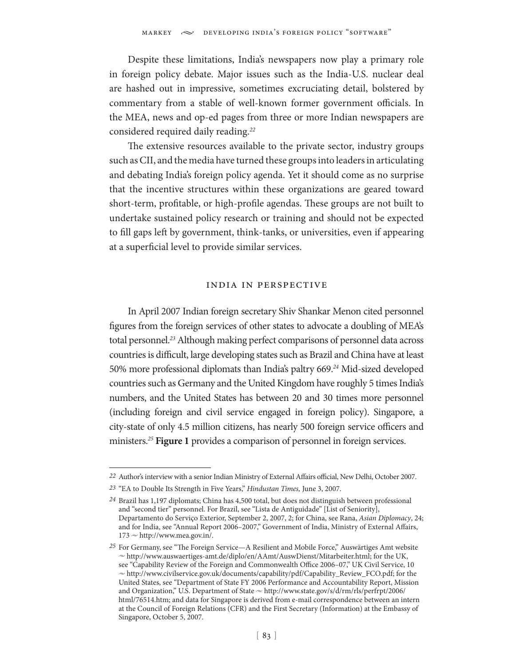Despite these limitations, India's newspapers now play a primary role in foreign policy debate. Major issues such as the India-U.S. nuclear deal are hashed out in impressive, sometimes excruciating detail, bolstered by commentary from a stable of well-known former government officials. In the MEA, news and op-ed pages from three or more Indian newspapers are considered required daily reading.<sup>22</sup>

The extensive resources available to the private sector, industry groups such as CII, and the media have turned these groups into leaders in articulating and debating India's foreign policy agenda. Yet it should come as no surprise that the incentive structures within these organizations are geared toward short-term, profitable, or high-profile agendas. These groups are not built to undertake sustained policy research or training and should not be expected to fill gaps left by government, think-tanks, or universities, even if appearing at a superficial level to provide similar services.

#### INDIA IN PERSPECTIVE

In April 2007 Indian foreign secretary Shiv Shankar Menon cited personnel figures from the foreign services of other states to advocate a doubling of MEA's total personnel.<sup>23</sup> Although making perfect comparisons of personnel data across countries is difficult, large developing states such as Brazil and China have at least 50% more professional diplomats than India's paltry 669.<sup>24</sup> Mid-sized developed countries such as Germany and the United Kingdom have roughly 5 times India's numbers, and the United States has between 20 and 30 times more personnel (including foreign and civil service engaged in foreign policy). Singapore, a city-state of only 4.5 million citizens, has nearly 500 foreign service officers and ministers.<sup>25</sup> Figure 1 provides a comparison of personnel in foreign services.

<sup>&</sup>lt;sup>22</sup> Author's interview with a senior Indian Ministry of External Affairs official, New Delhi, October 2007.

<sup>&</sup>lt;sup>23</sup> "EA to Double Its Strength in Five Years," Hindustan Times, June 3, 2007.

<sup>24</sup> Brazil has 1,197 diplomats; China has 4,500 total, but does not distinguish between professional and "second tier" personnel. For Brazil, see "Lista de Antiguidade" [List of Seniority], Departamento do Serviço Exterior, September 2, 2007, 2; for China, see Rana, Asian Diplomacy, 24; and for India, see "Annual Report 2006-2007," Government of India, Ministry of External Affairs, 173 ~ http://www.mea.gov.in/.

<sup>&</sup>lt;sup>25</sup> For Germany, see "The Foreign Service-A Resilient and Mobile Force," Auswärtiges Amt website  $\sim$  http://www.auswaertiges-amt.de/diplo/en/AAmt/AuswDienst/Mitarbeiter.html; for the UK, see "Capability Review of the Foreign and Commonwealth Office 2006-07," UK Civil Service, 10 ~ http://www.civilservice.gov.uk/documents/capability/pdf/Capability\_Review\_FCO.pdf; for the United States, see "Department of State FY 2006 Performance and Accountability Report, Mission and Organization," U.S. Department of State  $\sim$  http://www.state.gov/s/d/rm/rls/perfrpt/2006/ html/76514.htm; and data for Singapore is derived from e-mail correspondence between an intern at the Council of Foreign Relations (CFR) and the First Secretary (Information) at the Embassy of Singapore, October 5, 2007.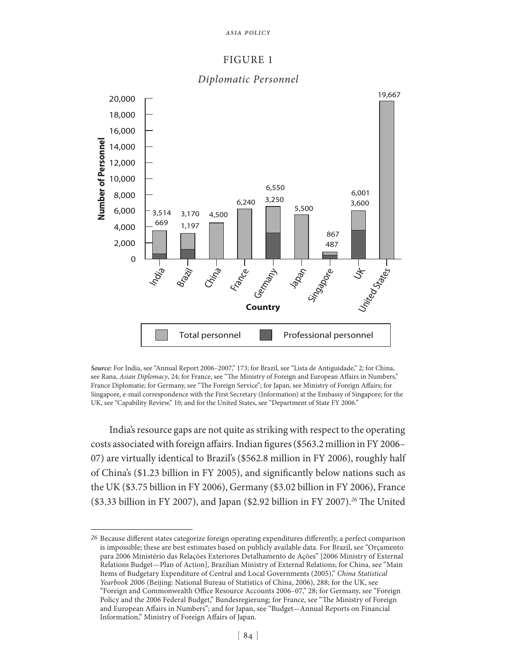#### FIGURE 1



### Diplomatic Personnel

Source: For India, see "Annual Report 2006-2007," 173; for Brazil, see "Lista de Antiguidade," 2; for China, see Rana, Asian Diplomacy, 24; for France, see "The Ministry of Foreign and European Affairs in Numbers," France Diplomatie; for Germany, see "The Foreign Service"; for Japan, see Ministry of Foreign Affairs; for Singapore, e-mail correspondence with the First Secretary (Information) at the Embassy of Singapore; for the UK, see "Capability Review," 10; and for the United States, see "Department of State FY 2006."

India's resource gaps are not quite as striking with respect to the operating costs associated with foreign affairs. Indian figures (\$563.2 million in FY 2006-07) are virtually identical to Brazil's (\$562.8 million in FY 2006), roughly half of China's (\$1.23 billion in FY 2005), and significantly below nations such as the UK (\$3.75 billion in FY 2006), Germany (\$3.02 billion in FY 2006), France (\$3.33 billion in FY 2007), and Japan (\$2.92 billion in FY 2007).<sup>26</sup> The United

<sup>&</sup>lt;sup>26</sup> Because different states categorize foreign operating expenditures differently, a perfect comparison is impossible; these are best estimates based on publicly available data. For Brazil, see "Orçamento para 2006 Ministério das Relações Exteriores Detalhamento de Ações" [2006 Ministry of External Relations Budget-Plan of Action], Brazilian Ministry of External Relations; for China, see "Main Items of Budgetary Expenditure of Central and Local Governments (2005)," China Statistical Yearbook 2006 (Beijing: National Bureau of Statistics of China, 2006), 288; for the UK, see "Foreign and Commonwealth Office Resource Accounts 2006-07," 28; for Germany, see "Foreign Policy and the 2006 Federal Budget," Bundesregierung; for France, see "The Ministry of Foreign and European Affairs in Numbers"; and for Japan, see "Budget-Annual Reports on Financial Information," Ministry of Foreign Affairs of Japan.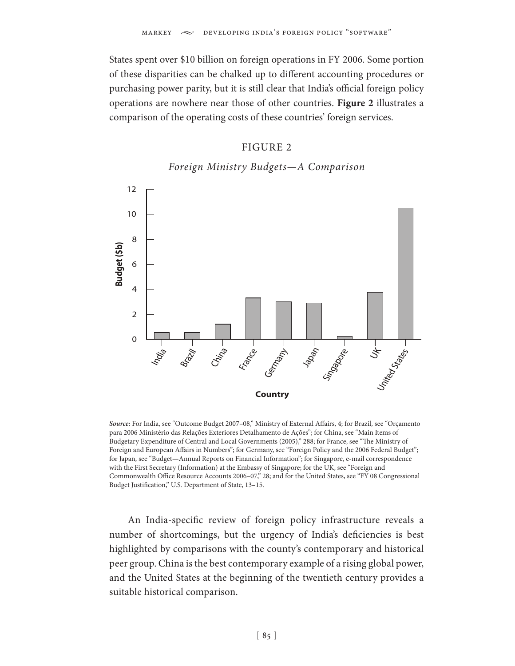States spent over \$10 billion on foreign operations in FY 2006. Some portion of these disparities can be chalked up to different accounting procedures or purchasing power parity, but it is still clear that India's official foreign policy operations are nowhere near those of other countries. Figure 2 illustrates a comparison of the operating costs of these countries' foreign services.

#### **FIGURE 2**

#### Foreign Ministry Budgets-A Comparison



Source: For India, see "Outcome Budget 2007-08," Ministry of External Affairs, 4; for Brazil, see "Orçamento para 2006 Ministério das Relações Exteriores Detalhamento de Ações"; for China, see "Main Items of Budgetary Expenditure of Central and Local Governments (2005)," 288; for France, see "The Ministry of Foreign and European Affairs in Numbers"; for Germany, see "Foreign Policy and the 2006 Federal Budget"; for Japan, see "Budget-Annual Reports on Financial Information"; for Singapore, e-mail correspondence with the First Secretary (Information) at the Embassy of Singapore; for the UK, see "Foreign and Commonwealth Office Resource Accounts 2006-07," 28; and for the United States, see "FY 08 Congressional Budget Justification," U.S. Department of State, 13-15.

An India-specific review of foreign policy infrastructure reveals a number of shortcomings, but the urgency of India's deficiencies is best highlighted by comparisons with the county's contemporary and historical peer group. China is the best contemporary example of a rising global power, and the United States at the beginning of the twentieth century provides a suitable historical comparison.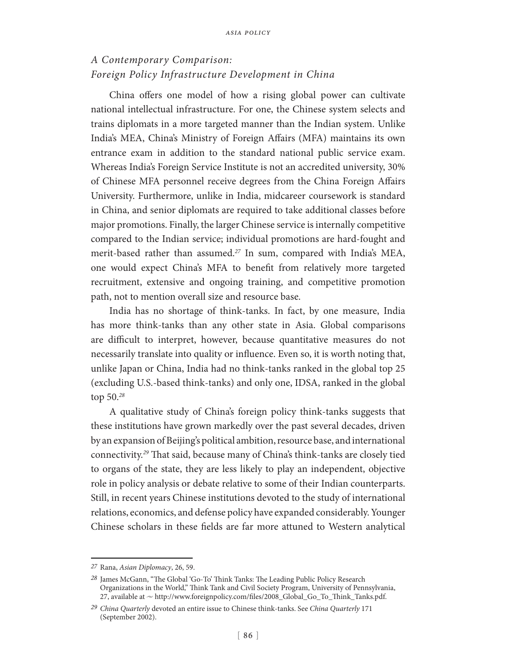## *A Contemporary Comparison: Foreign Policy Infrastructure Development in China*

China offers one model of how a rising global power can cultivate national intellectual infrastructure. For one, the Chinese system selects and trains diplomats in a more targeted manner than the Indian system. Unlike India's MEA, China's Ministry of Foreign Affairs (MFA) maintains its own entrance exam in addition to the standard national public service exam. Whereas India's Foreign Service Institute is not an accredited university, 30% of Chinese MFA personnel receive degrees from the China Foreign Affairs University. Furthermore, unlike in India, midcareer coursework is standard in China, and senior diplomats are required to take additional classes before major promotions. Finally, the larger Chinese service is internally competitive compared to the Indian service; individual promotions are hard-fought and merit-based rather than assumed.<sup>27</sup> In sum, compared with India's MEA, one would expect China's MFA to benefit from relatively more targeted recruitment, extensive and ongoing training, and competitive promotion path, not to mention overall size and resource base.

India has no shortage of think-tanks. In fact, by one measure, India has more think-tanks than any other state in Asia. Global comparisons are difficult to interpret, however, because quantitative measures do not necessarily translate into quality or influence. Even so, it is worth noting that, unlike Japan or China, India had no think-tanks ranked in the global top 25 (excluding U.S.-based think-tanks) and only one, IDSA, ranked in the global top 50.*<sup>28</sup>*

A qualitative study of China's foreign policy think-tanks suggests that these institutions have grown markedly over the past several decades, driven by an expansion of Beijing's political ambition, resource base, and international connectivity.<sup>29</sup> That said, because many of China's think-tanks are closely tied to organs of the state, they are less likely to play an independent, objective role in policy analysis or debate relative to some of their Indian counterparts. Still, in recent years Chinese institutions devoted to the study of international relations, economics, and defense policy have expanded considerably. Younger Chinese scholars in these felds are far more attuned to Western analytical

*<sup>27</sup>* Rana, *Asian Diplomacy*

<sup>&</sup>lt;sup>28</sup> James McGann, "The Global 'Go-To' Think Tanks: The Leading Public Policy Research Organizations in the World," Think Tank and Civil Society Program, University of Pennsylvania, 27, available at  $\sim$  http://www.foreignpolicy.com/files/2008\_Global\_Go\_To\_Think\_Tanks.pdf.

*<sup>29</sup> China Quarterly* devoted an entire issue to Chinese think-tanks. See *China Quarterly* 171 (September 2002).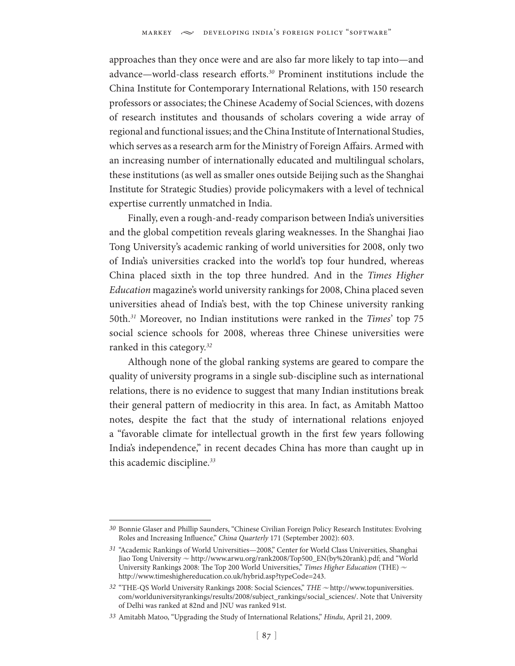approaches than they once were and are also far more likely to tap into—and advance—world-class research efforts.<sup>30</sup> Prominent institutions include the China Institute for Contemporary International Relations, with 150 research professors or associates; the Chinese Academy of Social Sciences, with dozens of research institutes and thousands of scholars covering a wide array of regional and functional issues; and the China Institute of International Studies, which serves as a research arm for the Ministry of Foreign Affairs. Armed with an increasing number of internationally educated and multilingual scholars, these institutions (as well as smaller ones outside Beijing such as the Shanghai Institute for Strategic Studies) provide policymakers with a level of technical expertise currently unmatched in India.

Finally, even a rough-and-ready comparison between India's universities and the global competition reveals glaring weaknesses. In the Shanghai Jiao Tong University's academic ranking of world universities for 2008, only two of India's universities cracked into the world's top four hundred, whereas China placed sixth in the top three hundred. And in the *Times Higher Education* magazine's world university rankings for 2008, China placed seven universities ahead of India's best, with the top Chinese university ranking 50th.<sup>31</sup> Moreover, no Indian institutions were ranked in the *Times*' top 75 social science schools for 2008, whereas three Chinese universities were ranked in this category.*<sup>32</sup>*

Although none of the global ranking systems are geared to compare the quality of university programs in a single sub-discipline such as international relations, there is no evidence to suggest that many Indian institutions break their general pattern of mediocrity in this area. In fact, as Amitabh Mattoo notes, despite the fact that the study of international relations enjoyed a "favorable climate for intellectual growth in the frst few years following India's independence," in recent decades China has more than caught up in this academic discipline.*<sup>33</sup>*

<sup>30</sup> Bonnie Glaser and Phillip Saunders, "Chinese Civilian Foreign Policy Research Institutes: Evolving Roles and Increasing Infuence," *China Quarterly* 171 (September 2002): 603.

*<sup>31</sup>* "Academic Rankings of World Universities—2008," Center for World Class Universities, Shanghai Jiao Tong University  $\sim$  http://www.arwu.org/rank2008/Top500\_EN(by%20rank).pdf; and "World University Rankings 2008: The Top 200 World Universities," *Times Higher Education* (THE)  $\sim$ http://www.timeshighereducation.co.uk/hybrid.asp?typeCode=243.

<sup>32 &</sup>quot;THE-QS World University Rankings 2008: Social Sciences," THE ~http://www.topuniversities. com/worlduniversityrankings/results/2008/subject\_rankings/social\_sciences/. Note that University of Delhi was ranked at 82nd and JNU was ranked 91st.

<sup>33</sup> Amitabh Matoo, "Upgrading the Study of International Relations," *Hindu*, April 21, 2009.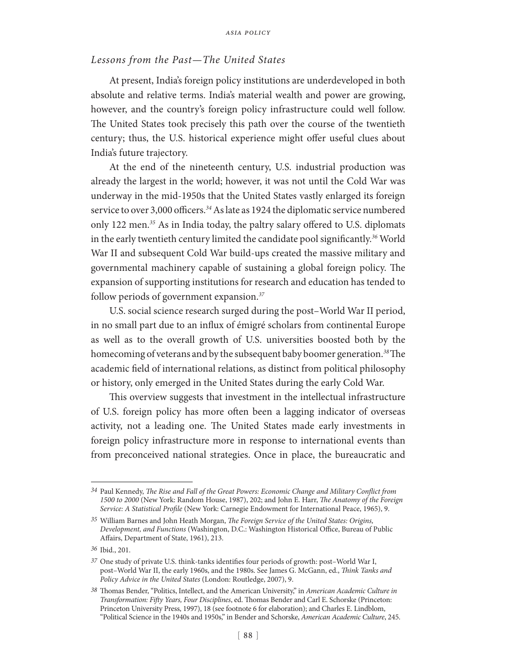#### *Lessons from the Past—The United States*

At present, India's foreign policy institutions are underdeveloped in both absolute and relative terms. India's material wealth and power are growing, however, and the country's foreign policy infrastructure could well follow. The United States took precisely this path over the course of the twentieth century; thus, the U.S. historical experience might offer useful clues about India's future trajectory.

At the end of the nineteenth century, U.S. industrial production was already the largest in the world; however, it was not until the Cold War was underway in the mid-1950s that the United States vastly enlarged its foreign service to over 3,000 officers.<sup>34</sup> As late as 1924 the diplomatic service numbered only 122 men.*<sup>35</sup>* As in India today, the paltry salary ofered to U.S. diplomats in the early twentieth century limited the candidate pool signifcantly.*<sup>36</sup>* World War II and subsequent Cold War build-ups created the massive military and governmental machinery capable of sustaining a global foreign policy. The expansion of supporting institutions for research and education has tended to follow periods of government expansion.*<sup>37</sup>*

U.S. social science research surged during the post–World War II period, in no small part due to an influx of émigré scholars from continental Europe as well as to the overall growth of U.S. universities boosted both by the homecoming of veterans and by the subsequent baby boomer generation.<sup>38</sup>The academic feld of international relations, as distinct from political philosophy or history, only emerged in the United States during the early Cold War.

This overview suggests that investment in the intellectual infrastructure of U.S. foreign policy has more ofen been a lagging indicator of overseas activity, not a leading one. The United States made early investments in foreign policy infrastructure more in response to international events than from preconceived national strategies. Once in place, the bureaucratic and

<sup>34</sup> Paul Kennedy, *The Rise and Fall of the Great Powers: Economic Change and Military Conflict from* 1500 to 2000 (New York: Random House, 1987), 202; and John E. Harr, *The Anatomy of the Foreign Service: A Statistical Profile* (New York: Carnegie Endowment for International Peace, 1965), 9.

<sup>&</sup>lt;sup>35</sup> William Barnes and John Heath Morgan, *The Foreign Service of the United States: Origins*, Development, and Functions (Washington, D.C.: Washington Historical Office, Bureau of Public Affairs, Department of State, 1961), 213.

*<sup>36</sup>* Ibid., 201.

*<sup>37</sup>* One study of private U.S. think-tanks identifes four periods of growth: post–World War I, post-World War II, the early 1960s, and the 1980s. See James G. McGann, ed., Think Tanks and Policy Advice in the United States (London: Routledge, 2007), 9.

*<sup>38</sup>* Tomas Bender, "Politics, Intellect, and the American University," in *American Academic Culture in*  Transformation: Fifty Years, Four Disciplines, ed. Thomas Bender and Carl E. Schorske (Princeton: Princeton University Press, 1997), 18 (see footnote 6 for elaboration); and Charles E. Lindblom, "Political Science in the 1940s and 1950s," in Bender and Schorske, American Academic Culture, 245.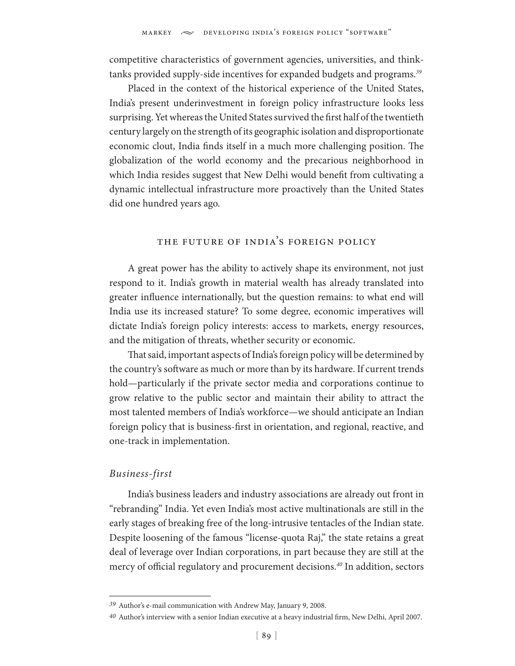competitive characteristics of government agencies, universities, and thinktanks provided supply-side incentives for expanded budgets and programs.*<sup>39</sup>*

Placed in the context of the historical experience of the United States, India's present underinvestment in foreign policy infrastructure looks less surprising. Yet whereas the United States survived the first half of the twentieth century largely on the strength of its geographic isolation and disproportionate economic clout, India finds itself in a much more challenging position. The globalization of the world economy and the precarious neighborhood in which India resides suggest that New Delhi would beneft from cultivating a dynamic intellectual infrastructure more proactively than the United States did one hundred years ago.

## THE FUTURE OF INDIA'S FOREIGN POLICY

A great power has the ability to actively shape its environment, not just respond to it. India's growth in material wealth has already translated into greater infuence internationally, but the question remains: to what end will India use its increased stature? To some degree, economic imperatives will dictate India's foreign policy interests: access to markets, energy resources, and the mitigation of threats, whether security or economic.

Tat said, important aspects of India's foreign policy will be determined by the country's sofware as much or more than by its hardware. If current trends hold—particularly if the private sector media and corporations continue to grow relative to the public sector and maintain their ability to attract the most talented members of India's workforce—we should anticipate an Indian foreign policy that is business-frst in orientation, and regional, reactive, and one-track in implementation.

#### *Business-first*

India's business leaders and industry associations are already out front in "rebranding" India. Yet even India's most active multinationals are still in the early stages of breaking free of the long-intrusive tentacles of the Indian state. Despite loosening of the famous "license-quota Raj," the state retains a great deal of leverage over Indian corporations, in part because they are still at the mercy of official regulatory and procurement decisions.<sup>40</sup> In addition, sectors

<sup>39</sup> Author's e-mail communication with Andrew May, January 9, 2008.

*<sup>40</sup>* Author's interview with a senior Indian executive at a heavy industrial frm, New Delhi, April 2007.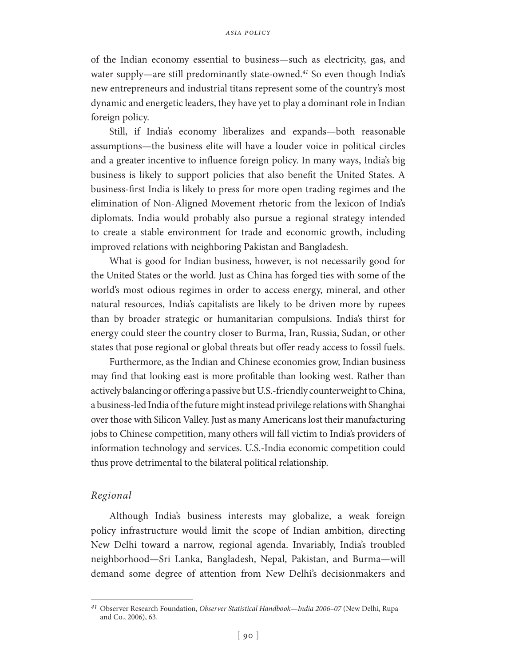of the Indian economy essential to business—such as electricity, gas, and water supply—are still predominantly state-owned.*<sup>41</sup>* So even though India's new entrepreneurs and industrial titans represent some of the country's most dynamic and energetic leaders, they have yet to play a dominant role in Indian foreign policy.

Still, if India's economy liberalizes and expands—both reasonable assumptions—the business elite will have a louder voice in political circles and a greater incentive to infuence foreign policy. In many ways, India's big business is likely to support policies that also beneft the United States. A business-frst India is likely to press for more open trading regimes and the elimination of Non-Aligned Movement rhetoric from the lexicon of India's diplomats. India would probably also pursue a regional strategy intended to create a stable environment for trade and economic growth, including improved relations with neighboring Pakistan and Bangladesh.

What is good for Indian business, however, is not necessarily good for the United States or the world. Just as China has forged ties with some of the world's most odious regimes in order to access energy, mineral, and other natural resources, India's capitalists are likely to be driven more by rupees than by broader strategic or humanitarian compulsions. India's thirst for energy could steer the country closer to Burma, Iran, Russia, Sudan, or other states that pose regional or global threats but offer ready access to fossil fuels.

Furthermore, as the Indian and Chinese economies grow, Indian business may fnd that looking east is more proftable than looking west. Rather than actively balancing or ofering a passive but U.S.-friendly counterweight to China, a business-led India of the future might instead privilege relations with Shanghai over those with Silicon Valley. Just as many Americans lost their manufacturing jobs to Chinese competition, many others will fall victim to India's providers of information technology and services. U.S.-India economic competition could thus prove detrimental to the bilateral political relationship.

#### *Regional*

Although India's business interests may globalize, a weak foreign policy infrastructure would limit the scope of Indian ambition, directing New Delhi toward a narrow, regional agenda. Invariably, India's troubled neighborhood—Sri Lanka, Bangladesh, Nepal, Pakistan, and Burma—will demand some degree of attention from New Delhi's decisionmakers and

*<sup>41</sup>* Observer Research Foundation, *Observer Statistical Handbook—India 2006–07* (New Delhi, Rupa and Co., 2006), 63.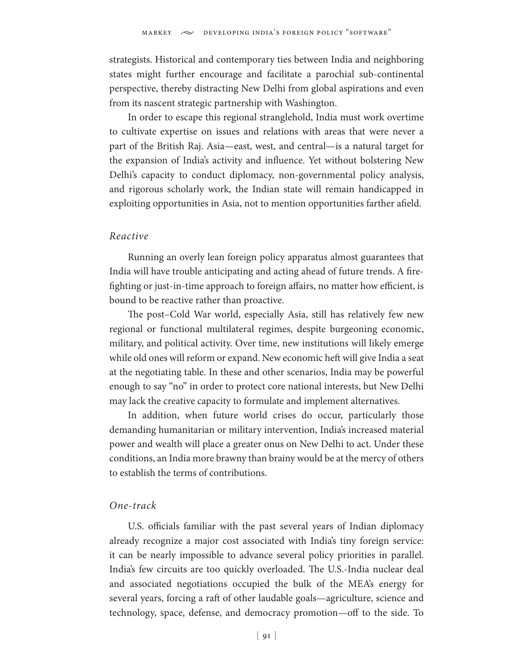strategists. Historical and contemporary ties between India and neighboring states might further encourage and facilitate a parochial sub-continental perspective, thereby distracting New Delhi from global aspirations and even from its nascent strategic partnership with Washington.

In order to escape this regional stranglehold, India must work overtime to cultivate expertise on issues and relations with areas that were never a part of the British Raj. Asia—east, west, and central—is a natural target for the expansion of India's activity and influence. Yet without bolstering New Delhi's capacity to conduct diplomacy, non-governmental policy analysis, and rigorous scholarly work, the Indian state will remain handicapped in exploiting opportunities in Asia, not to mention opportunities farther afeld.

#### *Reactive*

Running an overly lean foreign policy apparatus almost guarantees that India will have trouble anticipating and acting ahead of future trends. A frefighting or just-in-time approach to foreign affairs, no matter how efficient, is bound to be reactive rather than proactive.

The post-Cold War world, especially Asia, still has relatively few new regional or functional multilateral regimes, despite burgeoning economic, military, and political activity. Over time, new institutions will likely emerge while old ones will reform or expand. New economic heft will give India a seat at the negotiating table. In these and other scenarios, India may be powerful enough to say "no" in order to protect core national interests, but New Delhi may lack the creative capacity to formulate and implement alternatives.

In addition, when future world crises do occur, particularly those demanding humanitarian or military intervention, India's increased material power and wealth will place a greater onus on New Delhi to act. Under these conditions, an India more brawny than brainy would be at the mercy of others to establish the terms of contributions.

#### *One-track*

U.S. officials familiar with the past several years of Indian diplomacy already recognize a major cost associated with India's tiny foreign service: it can be nearly impossible to advance several policy priorities in parallel. India's few circuits are too quickly overloaded. The U.S.-India nuclear deal and associated negotiations occupied the bulk of the MEA's energy for several years, forcing a raft of other laudable goals—agriculture, science and technology, space, defense, and democracy promotion—of to the side. To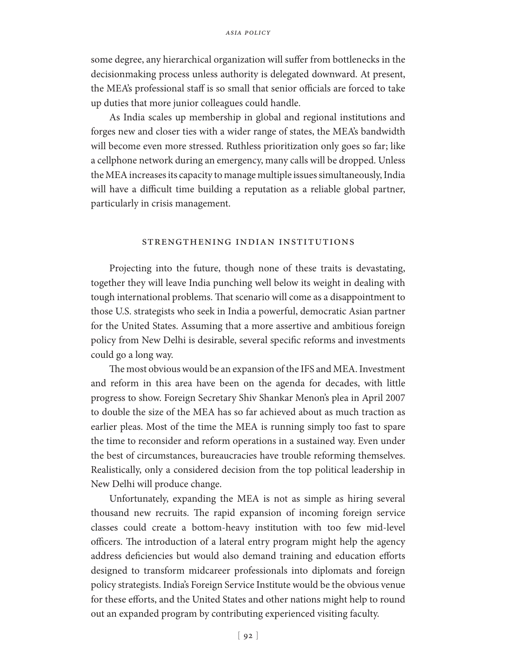some degree, any hierarchical organization will suffer from bottlenecks in the decisionmaking process unless authority is delegated downward. At present, the MEA's professional staff is so small that senior officials are forced to take up duties that more junior colleagues could handle.

As India scales up membership in global and regional institutions and forges new and closer ties with a wider range of states, the MEA's bandwidth will become even more stressed. Ruthless prioritization only goes so far; like a cellphone network during an emergency, many calls will be dropped. Unless the MEA increases its capacity to manage multiple issues simultaneously, India will have a difficult time building a reputation as a reliable global partner, particularly in crisis management.

#### STRENGTHENING INDIAN INSTITUTIONS

Projecting into the future, though none of these traits is devastating, together they will leave India punching well below its weight in dealing with tough international problems. That scenario will come as a disappointment to those U.S. strategists who seek in India a powerful, democratic Asian partner for the United States. Assuming that a more assertive and ambitious foreign policy from New Delhi is desirable, several specific reforms and investments could go a long way.

The most obvious would be an expansion of the IFS and MEA. Investment and reform in this area have been on the agenda for decades, with little progress to show. Foreign Secretary Shiv Shankar Menon's plea in April 2007 to double the size of the MEA has so far achieved about as much traction as earlier pleas. Most of the time the MEA is running simply too fast to spare the time to reconsider and reform operations in a sustained way. Even under the best of circumstances, bureaucracies have trouble reforming themselves. Realistically, only a considered decision from the top political leadership in New Delhi will produce change.

Unfortunately, expanding the MEA is not as simple as hiring several thousand new recruits. The rapid expansion of incoming foreign service classes could create a bottom-heavy institution with too few mid-level officers. The introduction of a lateral entry program might help the agency address deficiencies but would also demand training and education efforts designed to transform midcareer professionals into diplomats and foreign policy strategists. India's Foreign Service Institute would be the obvious venue for these efforts, and the United States and other nations might help to round out an expanded program by contributing experienced visiting faculty.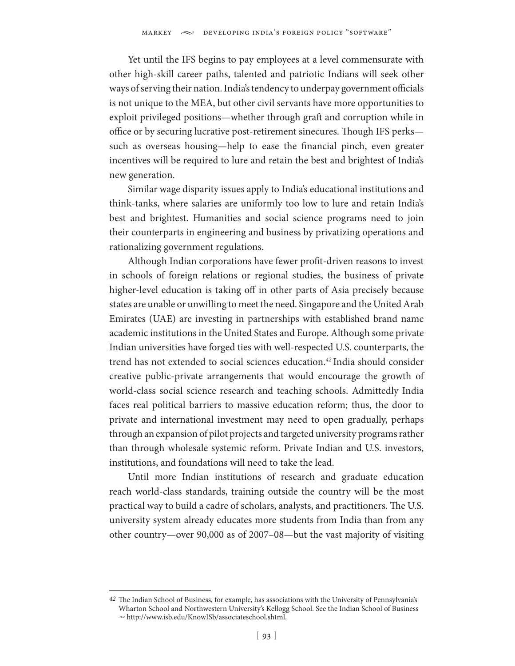Yet until the IFS begins to pay employees at a level commensurate with other high-skill career paths, talented and patriotic Indians will seek other ways of serving their nation. India's tendency to underpay government officials is not unique to the MEA, but other civil servants have more opportunities to exploit privileged positions—whether through graft and corruption while in office or by securing lucrative post-retirement sinecures. Though IFS perkssuch as overseas housing—help to ease the financial pinch, even greater incentives will be required to lure and retain the best and brightest of India's new generation.

Similar wage disparity issues apply to India's educational institutions and think-tanks, where salaries are uniformly too low to lure and retain India's best and brightest. Humanities and social science programs need to join their counterparts in engineering and business by privatizing operations and rationalizing government regulations.

Although Indian corporations have fewer profit-driven reasons to invest in schools of foreign relations or regional studies, the business of private higher-level education is taking off in other parts of Asia precisely because states are unable or unwilling to meet the need. Singapore and the United Arab Emirates (UAE) are investing in partnerships with established brand name academic institutions in the United States and Europe. Although some private Indian universities have forged ties with well-respected U.S. counterparts, the trend has not extended to social sciences education.<sup>42</sup> India should consider creative public-private arrangements that would encourage the growth of world-class social science research and teaching schools. Admittedly India faces real political barriers to massive education reform; thus, the door to private and international investment may need to open gradually, perhaps through an expansion of pilot projects and targeted university programs rather than through wholesale systemic reform. Private Indian and U.S. investors, institutions, and foundations will need to take the lead.

Until more Indian institutions of research and graduate education reach world-class standards, training outside the country will be the most practical way to build a cadre of scholars, analysts, and practitioners. The U.S. university system already educates more students from India than from any other country—over 90,000 as of  $2007-08$ —but the vast majority of visiting

<sup>42</sup> The Indian School of Business, for example, has associations with the University of Pennsylvania's Wharton School and Northwestern University's Kellogg School. See the Indian School of Business ~ http://www.isb.edu/KnowISb/associateschool.shtml.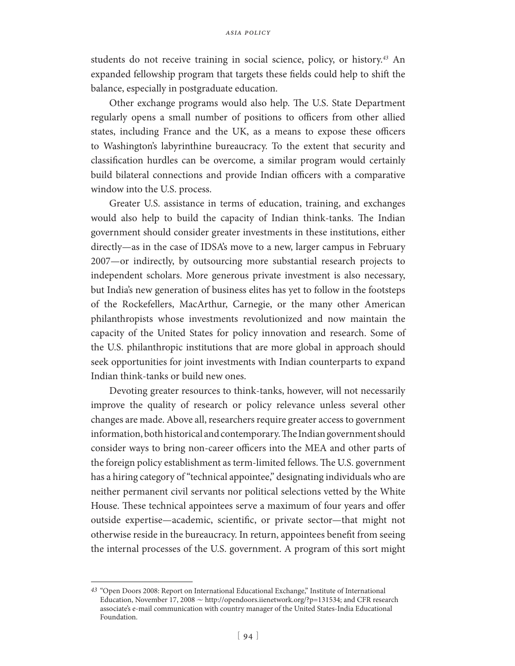students do not receive training in social science, policy, or history.*<sup>43</sup>* An expanded fellowship program that targets these felds could help to shif the balance, especially in postgraduate education.

Other exchange programs would also help. The U.S. State Department regularly opens a small number of positions to officers from other allied states, including France and the UK, as a means to expose these officers to Washington's labyrinthine bureaucracy. To the extent that security and classifcation hurdles can be overcome, a similar program would certainly build bilateral connections and provide Indian officers with a comparative window into the U.S. process.

Greater U.S. assistance in terms of education, training, and exchanges would also help to build the capacity of Indian think-tanks. The Indian government should consider greater investments in these institutions, either directly—as in the case of IDSA's move to a new, larger campus in February 2007—or indirectly, by outsourcing more substantial research projects to independent scholars. More generous private investment is also necessary, but India's new generation of business elites has yet to follow in the footsteps of the Rockefellers, MacArthur, Carnegie, or the many other American philanthropists whose investments revolutionized and now maintain the capacity of the United States for policy innovation and research. Some of the U.S. philanthropic institutions that are more global in approach should seek opportunities for joint investments with Indian counterparts to expand Indian think-tanks or build new ones.

Devoting greater resources to think-tanks, however, will not necessarily improve the quality of research or policy relevance unless several other changes are made. Above all, researchers require greater access to government information, both historical and contemporary. The Indian government should consider ways to bring non-career officers into the MEA and other parts of the foreign policy establishment as term-limited fellows. The U.S. government has a hiring category of "technical appointee," designating individuals who are neither permanent civil servants nor political selections vetted by the White House. These technical appointees serve a maximum of four years and offer outside expertise—academic, scientifc, or private sector—that might not otherwise reside in the bureaucracy. In return, appointees beneft from seeing the internal processes of the U.S. government. A program of this sort might

<sup>43 &</sup>quot;Open Doors 2008: Report on International Educational Exchange," Institute of International Education, November 17, 2008  $\sim$  http://opendoors.iienetwork.org/?p=131534; and CFR research associate's e-mail communication with country manager of the United States-India Educational Foundation.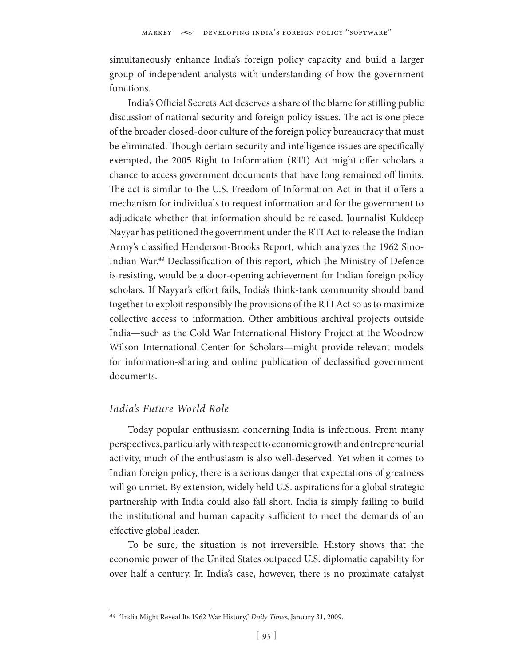simultaneously enhance India's foreign policy capacity and build a larger group of independent analysts with understanding of how the government functions.

India's Official Secrets Act deserves a share of the blame for stifling public discussion of national security and foreign policy issues. The act is one piece of the broader closed-door culture of the foreign policy bureaucracy that must be eliminated. Though certain security and intelligence issues are specifically exempted, the 2005 Right to Information (RTI) Act might offer scholars a chance to access government documents that have long remained of limits. The act is similar to the U.S. Freedom of Information Act in that it offers a mechanism for individuals to request information and for the government to adjudicate whether that information should be released. Journalist Kuldeep Nayyar has petitioned the government under the RTI Act to release the Indian Army's classified Henderson-Brooks Report, which analyzes the 1962 Sino-Indian War.<sup>44</sup> Declassification of this report, which the Ministry of Defence is resisting, would be a door-opening achievement for Indian foreign policy scholars. If Nayyar's effort fails, India's think-tank community should band together to exploit responsibly the provisions of the RTI Act so as to maximize collective access to information. Other ambitious archival projects outside India—such as the Cold War International History Project at the Woodrow Wilson International Center for Scholars—might provide relevant models for information-sharing and online publication of declassifed government documents.

#### *India's Future World Role*

Today popular enthusiasm concerning India is infectious. From many perspectives, particularly with respect to economic growth and entrepreneurial activity, much of the enthusiasm is also well-deserved. Yet when it comes to Indian foreign policy, there is a serious danger that expectations of greatness will go unmet. By extension, widely held U.S. aspirations for a global strategic partnership with India could also fall short. India is simply failing to build the institutional and human capacity sufficient to meet the demands of an efective global leader.

To be sure, the situation is not irreversible. History shows that the economic power of the United States outpaced U.S. diplomatic capability for over half a century. In India's case, however, there is no proximate catalyst

<sup>&</sup>lt;sup>44</sup> "India Might Reveal Its 1962 War History," Daily Times, January 31, 2009.